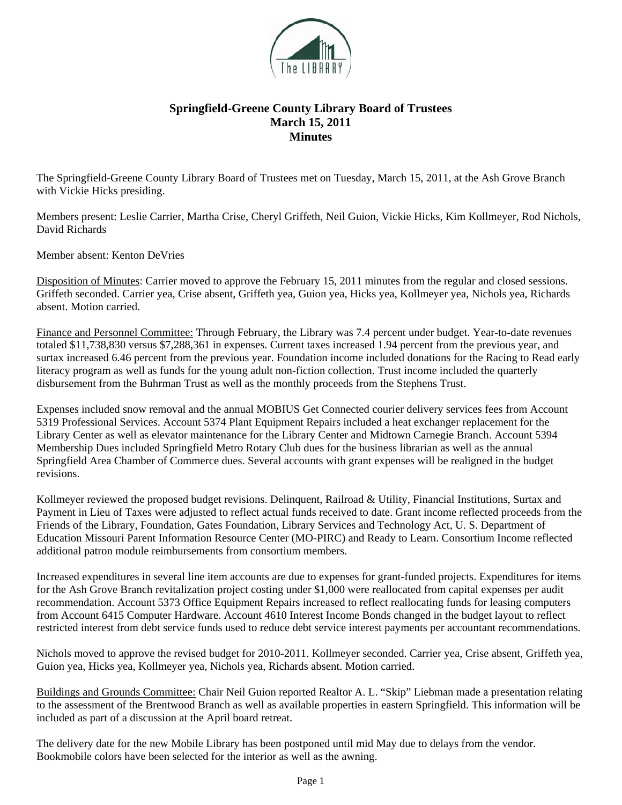

## **Springfield-Greene County Library Board of Trustees March 15, 2011 Minutes**

The Springfield-Greene County Library Board of Trustees met on Tuesday, March 15, 2011, at the Ash Grove Branch with Vickie Hicks presiding.

Members present: Leslie Carrier, Martha Crise, Cheryl Griffeth, Neil Guion, Vickie Hicks, Kim Kollmeyer, Rod Nichols, David Richards

Member absent: Kenton DeVries

Disposition of Minutes: Carrier moved to approve the February 15, 2011 minutes from the regular and closed sessions. Griffeth seconded. Carrier yea, Crise absent, Griffeth yea, Guion yea, Hicks yea, Kollmeyer yea, Nichols yea, Richards absent. Motion carried.

Finance and Personnel Committee: Through February, the Library was 7.4 percent under budget. Year-to-date revenues totaled \$11,738,830 versus \$7,288,361 in expenses. Current taxes increased 1.94 percent from the previous year, and surtax increased 6.46 percent from the previous year. Foundation income included donations for the Racing to Read early literacy program as well as funds for the young adult non-fiction collection. Trust income included the quarterly disbursement from the Buhrman Trust as well as the monthly proceeds from the Stephens Trust.

Expenses included snow removal and the annual MOBIUS Get Connected courier delivery services fees from Account 5319 Professional Services. Account 5374 Plant Equipment Repairs included a heat exchanger replacement for the Library Center as well as elevator maintenance for the Library Center and Midtown Carnegie Branch. Account 5394 Membership Dues included Springfield Metro Rotary Club dues for the business librarian as well as the annual Springfield Area Chamber of Commerce dues. Several accounts with grant expenses will be realigned in the budget revisions.

Kollmeyer reviewed the proposed budget revisions. Delinquent, Railroad & Utility, Financial Institutions, Surtax and Payment in Lieu of Taxes were adjusted to reflect actual funds received to date. Grant income reflected proceeds from the Friends of the Library, Foundation, Gates Foundation, Library Services and Technology Act, U. S. Department of Education Missouri Parent Information Resource Center (MO-PIRC) and Ready to Learn. Consortium Income reflected additional patron module reimbursements from consortium members.

Increased expenditures in several line item accounts are due to expenses for grant-funded projects. Expenditures for items for the Ash Grove Branch revitalization project costing under \$1,000 were reallocated from capital expenses per audit recommendation. Account 5373 Office Equipment Repairs increased to reflect reallocating funds for leasing computers from Account 6415 Computer Hardware. Account 4610 Interest Income Bonds changed in the budget layout to reflect restricted interest from debt service funds used to reduce debt service interest payments per accountant recommendations.

Nichols moved to approve the revised budget for 2010-2011. Kollmeyer seconded. Carrier yea, Crise absent, Griffeth yea, Guion yea, Hicks yea, Kollmeyer yea, Nichols yea, Richards absent. Motion carried.

Buildings and Grounds Committee: Chair Neil Guion reported Realtor A. L. "Skip" Liebman made a presentation relating to the assessment of the Brentwood Branch as well as available properties in eastern Springfield. This information will be included as part of a discussion at the April board retreat.

The delivery date for the new Mobile Library has been postponed until mid May due to delays from the vendor. Bookmobile colors have been selected for the interior as well as the awning.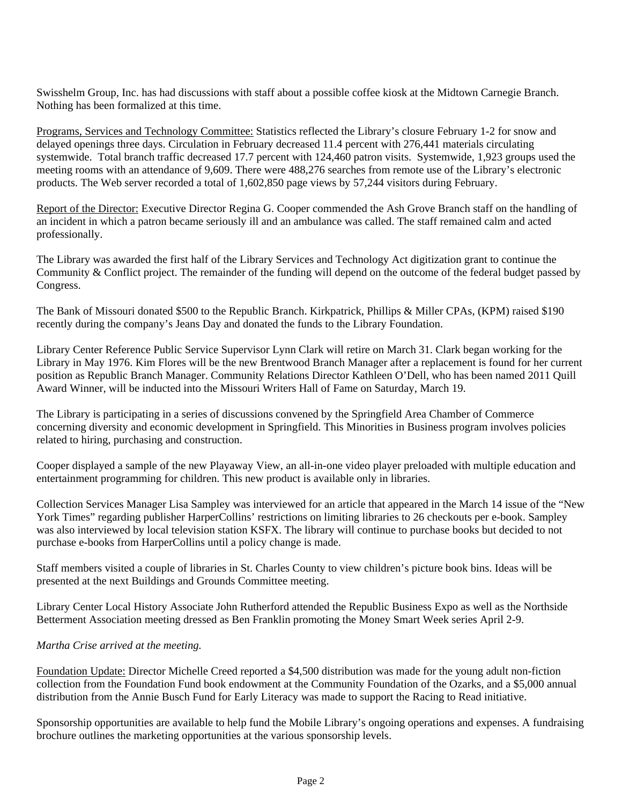Swisshelm Group, Inc. has had discussions with staff about a possible coffee kiosk at the Midtown Carnegie Branch. Nothing has been formalized at this time.

Programs, Services and Technology Committee: Statistics reflected the Library's closure February 1-2 for snow and delayed openings three days. Circulation in February decreased 11.4 percent with 276,441 materials circulating systemwide. Total branch traffic decreased 17.7 percent with 124,460 patron visits. Systemwide, 1,923 groups used the meeting rooms with an attendance of 9,609. There were 488,276 searches from remote use of the Library's electronic products. The Web server recorded a total of 1,602,850 page views by 57,244 visitors during February.

Report of the Director: Executive Director Regina G. Cooper commended the Ash Grove Branch staff on the handling of an incident in which a patron became seriously ill and an ambulance was called. The staff remained calm and acted professionally.

The Library was awarded the first half of the Library Services and Technology Act digitization grant to continue the Community & Conflict project. The remainder of the funding will depend on the outcome of the federal budget passed by Congress.

The Bank of Missouri donated \$500 to the Republic Branch. Kirkpatrick, Phillips & Miller CPAs, (KPM) raised \$190 recently during the company's Jeans Day and donated the funds to the Library Foundation.

Library Center Reference Public Service Supervisor Lynn Clark will retire on March 31. Clark began working for the Library in May 1976. Kim Flores will be the new Brentwood Branch Manager after a replacement is found for her current position as Republic Branch Manager. Community Relations Director Kathleen O'Dell, who has been named 2011 Quill Award Winner, will be inducted into the Missouri Writers Hall of Fame on Saturday, March 19.

The Library is participating in a series of discussions convened by the Springfield Area Chamber of Commerce concerning diversity and economic development in Springfield. This Minorities in Business program involves policies related to hiring, purchasing and construction.

Cooper displayed a sample of the new Playaway View, an all-in-one video player preloaded with multiple education and entertainment programming for children. This new product is available only in libraries.

Collection Services Manager Lisa Sampley was interviewed for an article that appeared in the March 14 issue of the "New York Times" regarding publisher HarperCollins' restrictions on limiting libraries to 26 checkouts per e-book. Sampley was also interviewed by local television station KSFX. The library will continue to purchase books but decided to not purchase e-books from HarperCollins until a policy change is made.

Staff members visited a couple of libraries in St. Charles County to view children's picture book bins. Ideas will be presented at the next Buildings and Grounds Committee meeting.

Library Center Local History Associate John Rutherford attended the Republic Business Expo as well as the Northside Betterment Association meeting dressed as Ben Franklin promoting the Money Smart Week series April 2-9.

## *Martha Crise arrived at the meeting.*

Foundation Update: Director Michelle Creed reported a \$4,500 distribution was made for the young adult non-fiction collection from the Foundation Fund book endowment at the Community Foundation of the Ozarks, and a \$5,000 annual distribution from the Annie Busch Fund for Early Literacy was made to support the Racing to Read initiative.

Sponsorship opportunities are available to help fund the Mobile Library's ongoing operations and expenses. A fundraising brochure outlines the marketing opportunities at the various sponsorship levels.